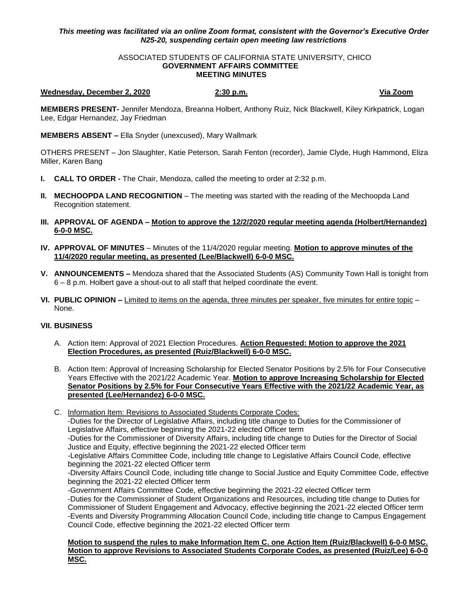## *This meeting was facilitated via an online Zoom format, consistent with the Governor's Executive Order N25-20, suspending certain open meeting law restrictions*

## ASSOCIATED STUDENTS OF CALIFORNIA STATE UNIVERSITY, CHICO **GOVERNMENT AFFAIRS COMMITTEE MEETING MINUTES**

## **Wednesday, December 2, 2020 2:30 p.m. Via Zoom**

**MEMBERS PRESENT-** Jennifer Mendoza, Breanna Holbert, Anthony Ruiz, Nick Blackwell, Kiley Kirkpatrick, Logan Lee, Edgar Hernandez, Jay Friedman

**MEMBERS ABSENT –** Ella Snyder (unexcused), Mary Wallmark

OTHERS PRESENT – Jon Slaughter, Katie Peterson, Sarah Fenton (recorder), Jamie Clyde, Hugh Hammond, Eliza Miller, Karen Bang

- **I. CALL TO ORDER -** The Chair, Mendoza, called the meeting to order at 2:32 p.m.
- **II. MECHOOPDA LAND RECOGNITION** The meeting was started with the reading of the Mechoopda Land Recognition statement.
- **III. APPROVAL OF AGENDA – Motion to approve the 12/2/2020 regular meeting agenda (Holbert/Hernandez) 6-0-0 MSC.**
- **IV. APPROVAL OF MINUTES** Minutes of the 11/4/2020 regular meeting. **Motion to approve minutes of the 11/4/2020 regular meeting, as presented (Lee/Blackwell) 6-0-0 MSC.**
- **V. ANNOUNCEMENTS –** Mendoza shared that the Associated Students (AS) Community Town Hall is tonight from 6 – 8 p.m. Holbert gave a shout-out to all staff that helped coordinate the event.
- **VI. PUBLIC OPINION –** Limited to items on the agenda, three minutes per speaker, five minutes for entire topic None.

## **VII. BUSINESS**

- A. Action Item: Approval of 2021 Election Procedures. **Action Requested: Motion to approve the 2021 Election Procedures, as presented (Ruiz/Blackwell) 6-0-0 MSC.**
- B. Action Item: Approval of Increasing Scholarship for Elected Senator Positions by 2.5% for Four Consecutive Years Effective with the 2021/22 Academic Year. **Motion to approve Increasing Scholarship for Elected Senator Positions by 2.5% for Four Consecutive Years Effective with the 2021/22 Academic Year, as presented (Lee/Hernandez) 6-0-0 MSC.**
- C. Information Item: Revisions to Associated Students Corporate Codes: -Duties for the Director of Legislative Affairs, including title change to Duties for the Commissioner of Legislative Affairs, effective beginning the 2021-22 elected Officer term -Duties for the Commissioner of Diversity Affairs, including title change to Duties for the Director of Social Justice and Equity, effective beginning the 2021-22 elected Officer term -Legislative Affairs Committee Code, including title change to Legislative Affairs Council Code, effective beginning the 2021-22 elected Officer term -Diversity Affairs Council Code, including title change to Social Justice and Equity Committee Code, effective beginning the 2021-22 elected Officer term -Government Affairs Committee Code, effective beginning the 2021-22 elected Officer term -Duties for the Commissioner of Student Organizations and Resources, including title change to Duties for Commissioner of Student Engagement and Advocacy, effective beginning the 2021-22 elected Officer term -Events and Diversity Programming Allocation Council Code, including title change to Campus Engagement Council Code, effective beginning the 2021-22 elected Officer term

**Motion to suspend the rules to make Information Item C. one Action Item (Ruiz/Blackwell) 6-0-0 MSC. Motion to approve Revisions to Associated Students Corporate Codes, as presented (Ruiz/Lee) 6-0-0 MSC.**